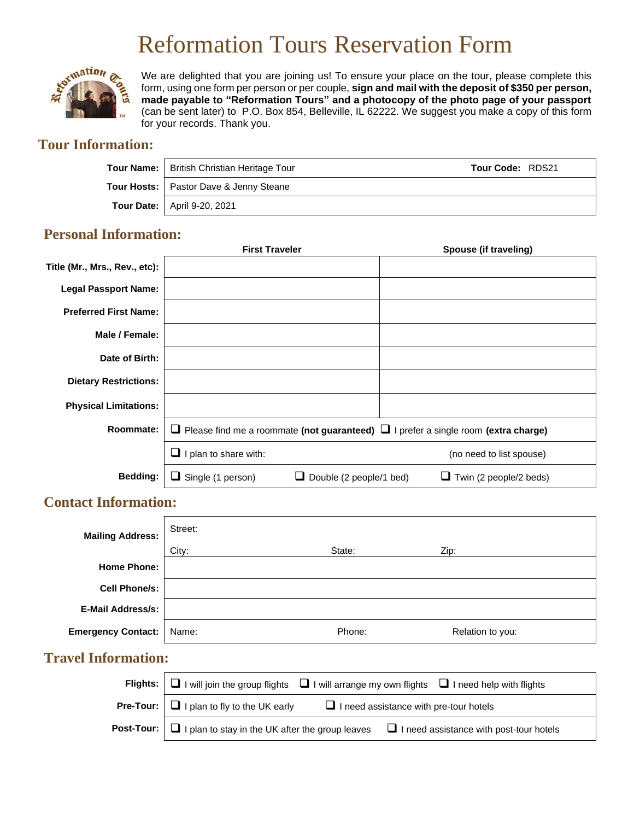# Reformation Tours Reservation Form



We are delighted that you are joining us! To ensure your place on the tour, please complete this form, using one form per person or per couple, **sign and mail with the deposit of \$350 per person, made payable to "Reformation Tours" and a photocopy of the photo page of your passport** (can be sent later) to P.O. Box 854, Belleville, IL 62222. We suggest you make a copy of this form for your records. Thank you.

# **Tour Information:**

| Tour Name:   British Christian Heritage Tour<br><b>Tour Code: RDS21</b> |  |
|-------------------------------------------------------------------------|--|
| Tour Hosts:   Pastor Dave & Jenny Steane                                |  |
| Tour Date:   April 9-20, 2021                                           |  |

## **Personal Information:**

|                               | <b>First Traveler</b>                                                                          | Spouse (if traveling)    |
|-------------------------------|------------------------------------------------------------------------------------------------|--------------------------|
| Title (Mr., Mrs., Rev., etc): |                                                                                                |                          |
| <b>Legal Passport Name:</b>   |                                                                                                |                          |
| <b>Preferred First Name:</b>  |                                                                                                |                          |
| Male / Female:                |                                                                                                |                          |
| Date of Birth:                |                                                                                                |                          |
| <b>Dietary Restrictions:</b>  |                                                                                                |                          |
| <b>Physical Limitations:</b>  |                                                                                                |                          |
| Roommate:                     | $\Box$ Please find me a roommate (not guaranteed) $\Box$ I prefer a single room (extra charge) |                          |
|                               | I plan to share with:                                                                          | (no need to list spouse) |
| Bedding:                      | Double (2 people/1 bed)<br>Twin (2 people/2 beds)<br>Single (1 person)<br>⊔<br>ப               |                          |

## **Contact Information:**

| <b>Mailing Address:</b>   | Street: |        |                  |
|---------------------------|---------|--------|------------------|
|                           | City:   | State: | Zip:             |
| <b>Home Phone:</b>        |         |        |                  |
| <b>Cell Phone/s:</b>      |         |        |                  |
| <b>E-Mail Address/s:</b>  |         |        |                  |
| <b>Emergency Contact:</b> | Name:   | Phone: | Relation to you: |

# **Travel Information:**

| Flights: $\Box$ I will join the group flights $\Box$ I will arrange my own flights $\Box$ I need help with flights      |
|-------------------------------------------------------------------------------------------------------------------------|
| <b>Pre-Tour:</b> $\Box$ I plan to fly to the UK early<br>$\Box$ I need assistance with pre-tour hotels                  |
| <b>Post-Tour:</b> $\Box$ I plan to stay in the UK after the group leaves $\Box$ I need assistance with post-tour hotels |